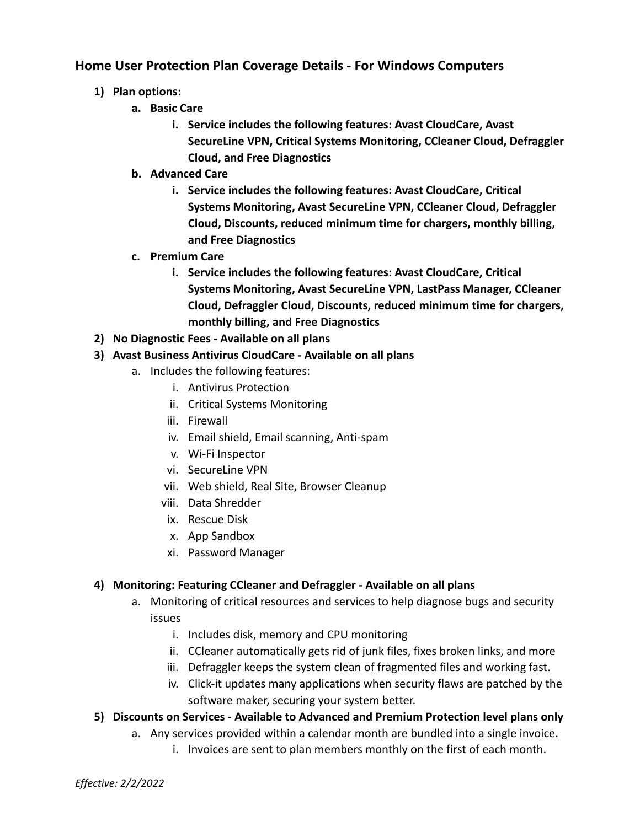## **Home User Protection Plan Coverage Details - For Windows Computers**

- **1) Plan options:**
	- **a. Basic Care**
		- **i. Service includes the following features: Avast CloudCare, Avast SecureLine VPN, Critical Systems Monitoring, CCleaner Cloud, Defraggler Cloud, and Free Diagnostics**
	- **b. Advanced Care**
		- **i. Service includes the following features: Avast CloudCare, Critical Systems Monitoring, Avast SecureLine VPN, CCleaner Cloud, Defraggler Cloud, Discounts, reduced minimum time for chargers, monthly billing, and Free Diagnostics**
	- **c. Premium Care**
		- **i. Service includes the following features: Avast CloudCare, Critical Systems Monitoring, Avast SecureLine VPN, LastPass Manager, CCleaner Cloud, Defraggler Cloud, Discounts, reduced minimum time for chargers, monthly billing, and Free Diagnostics**
- **2) No Diagnostic Fees Available on all plans**
- **3) Avast Business Antivirus CloudCare Available on all plans**
	- a. Includes the following features:
		- i. Antivirus Protection
		- ii. Critical Systems Monitoring
		- iii. Firewall
		- iv. Email shield, Email scanning, Anti-spam
		- v. Wi-Fi Inspector
		- vi. SecureLine VPN
		- vii. Web shield, Real Site, Browser Cleanup
		- viii. Data Shredder
		- ix. Rescue Disk
		- x. App Sandbox
		- xi. Password Manager

## **4) Monitoring: Featuring CCleaner and Defraggler - Available on all plans**

- a. Monitoring of critical resources and services to help diagnose bugs and security issues
	- i. Includes disk, memory and CPU monitoring
	- ii. CCleaner automatically gets rid of junk files, fixes broken links, and more
	- iii. Defraggler keeps the system clean of fragmented files and working fast.
	- iv. Click-it updates many applications when security flaws are patched by the software maker, securing your system better.
- **5) Discounts on Services Available to Advanced and Premium Protection level plans only**
	- a. Any services provided within a calendar month are bundled into a single invoice.
		- i. Invoices are sent to plan members monthly on the first of each month.